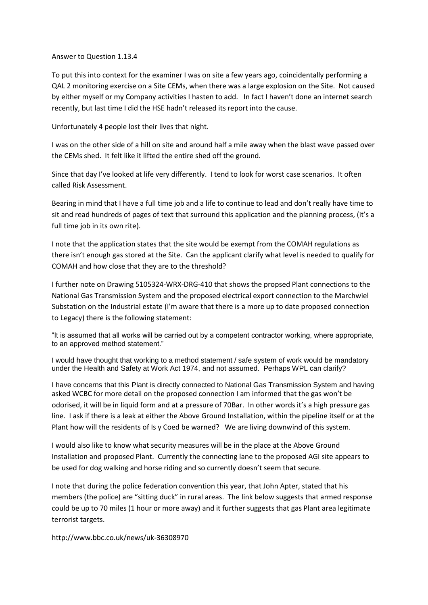## Answer to Question 1.13.4

To put this into context for the examiner I was on site a few years ago, coincidentally performing a QAL 2 monitoring exercise on a Site CEMs, when there was a large explosion on the Site. Not caused by either myself or my Company activities I hasten to add. In fact I haven't done an internet search recently, but last time I did the HSE hadn't released its report into the cause.

Unfortunately 4 people lost their lives that night.

I was on the other side of a hill on site and around half a mile away when the blast wave passed over the CEMs shed. It felt like it lifted the entire shed off the ground.

Since that day I've looked at life very differently. I tend to look for worst case scenarios. It often called Risk Assessment.

Bearing in mind that I have a full time job and a life to continue to lead and don't really have time to sit and read hundreds of pages of text that surround this application and the planning process, (it's a full time job in its own rite).

I note that the application states that the site would be exempt from the COMAH regulations as there isn't enough gas stored at the Site. Can the applicant clarify what level is needed to qualify for COMAH and how close that they are to the threshold?

I further note on Drawing 5105324-WRX-DRG-410 that shows the propsed Plant connections to the National Gas Transmission System and the proposed electrical export connection to the Marchwiel Substation on the Industrial estate (I'm aware that there is a more up to date proposed connection to Legacy) there is the following statement:

"It is assumed that all works will be carried out by a competent contractor working, where appropriate, to an approved method statement."

I would have thought that working to a method statement / safe system of work would be mandatory under the Health and Safety at Work Act 1974, and not assumed. Perhaps WPL can clarify?

I have concerns that this Plant is directly connected to National Gas Transmission System and having asked WCBC for more detail on the proposed connection I am informed that the gas won't be odorised, it will be in liquid form and at a pressure of 70Bar. In other words it's a high pressure gas line. I ask if there is a leak at either the Above Ground Installation, within the pipeline itself or at the Plant how will the residents of Is y Coed be warned? We are living downwind of this system.

I would also like to know what security measures will be in the place at the Above Ground Installation and proposed Plant. Currently the connecting lane to the proposed AGI site appears to be used for dog walking and horse riding and so currently doesn't seem that secure.

I note that during the police federation convention this year, that John Apter, stated that his members (the police) are "sitting duck" in rural areas. The link below suggests that armed response could be up to 70 miles (1 hour or more away) and it further suggests that gas Plant area legitimate terrorist targets.

http://www.bbc.co.uk/news/uk-36308970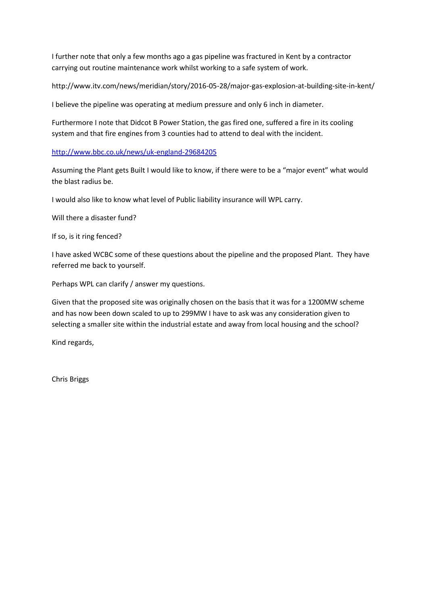I further note that only a few months ago a gas pipeline was fractured in Kent by a contractor carrying out routine maintenance work whilst working to a safe system of work.

http://www.itv.com/news/meridian/story/2016-05-28/major-gas-explosion-at-building-site-in-kent/

I believe the pipeline was operating at medium pressure and only 6 inch in diameter.

Furthermore I note that Didcot B Power Station, the gas fired one, suffered a fire in its cooling system and that fire engines from 3 counties had to attend to deal with the incident.

<http://www.bbc.co.uk/news/uk-england-29684205>

Assuming the Plant gets Built I would like to know, if there were to be a "major event" what would the blast radius be.

I would also like to know what level of Public liability insurance will WPL carry.

Will there a disaster fund?

If so, is it ring fenced?

I have asked WCBC some of these questions about the pipeline and the proposed Plant. They have referred me back to yourself.

Perhaps WPL can clarify / answer my questions.

Given that the proposed site was originally chosen on the basis that it was for a 1200MW scheme and has now been down scaled to up to 299MW I have to ask was any consideration given to selecting a smaller site within the industrial estate and away from local housing and the school?

Kind regards,

Chris Briggs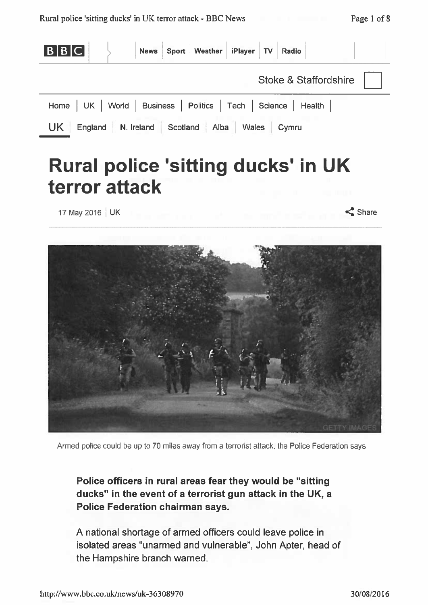

## **Rural police 'sitting ducks' in UK** terror attack

17 May 2016 | UK

 $\leq$  Share



Armed police could be up to 70 miles away from a terrorist attack, the Police Federation says

Police officers in rural areas fear they would be "sitting" ducks" in the event of a terrorist gun attack in the UK, a **Police Federation chairman says.** 

A national shortage of armed officers could leave police in isolated areas "unarmed and vulnerable", John Apter, head of the Hampshire branch warned.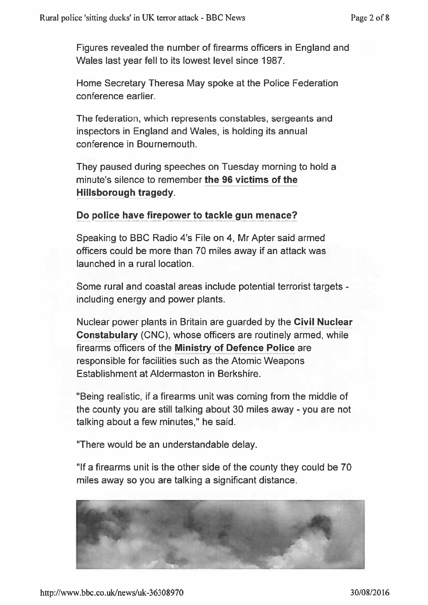Figures revealed the number of firearms officers in England and Wales last year fell to its lowest level since 1987.

Home Secretary Theresa May spoke at the Police Federation conference earlier.

The federation, which represents constables, sergeants and inspectors in England and Wales, is holding its annual conference in Bournemouth.

They paused during speeches on Tuesday morning to hold a minute's silence to remember the 96 victims of the Hillsborough tragedy.

## Do police have firepower to tackle gun menace?

Speaking to BBC Radio 4's File on 4, Mr Apter said armed officers could be more than 70 miles away if an attack was launched in a rural location.

Some rural and coastal areas include potential terrorist targets including energy and power plants.

Nuclear power plants in Britain are guarded by the Civil Nuclear Constabulary (CNC), whose officers are routinely armed, while firearms officers of the Ministry of Defence Police are responsible for facilities such as the Atomic Weapons Establishment at Aldermaston in Berkshire.

"Being realistic, if a firearms unit was coming from the middle of the county you are still talking about 30 miles away - you are not talking about a few minutes," he said.

"There would be an understandable delay.

"If a firearms unit is the other side of the county they could be 70 miles away so you are talking a significant distance.

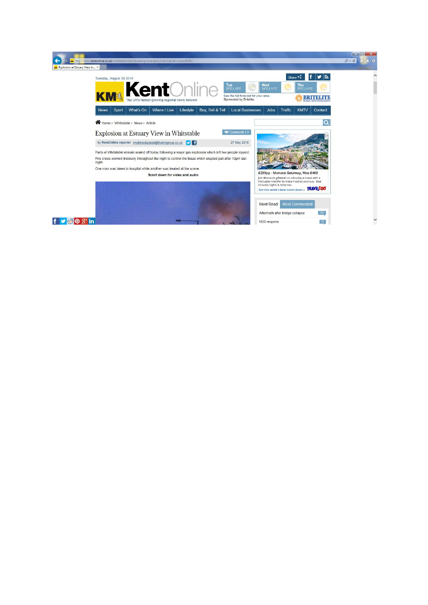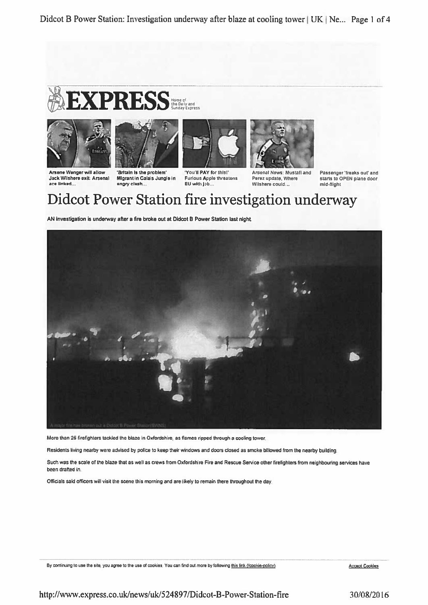



Arsene Wenger will allow

ace linked...

Jack Wilshere exit: Arsenal



'Britain is the problem

angry clash...

Migrant in Calais Jungle in

'You'll PAY for this!' **Furious Apple threatens** EU with job...

Arsenal News: Mustafi and Perez update, Where Wilshere could...

Passenger 'freaks out' and<br>starts to OPEN plane door mid-flight

Didcot Power Station fire investigation underway

AN investigation is underway after a fire broke out at Didcot B Power Station last night.



More than 25 firefighters tackled the blaze in Oxfordshire, as flames ripped through a cooling tower.

Residents living nearby were advised by police to keep their windows and doors closed as smoke billowed from the nearby building.

Such was the scale of the blaze that as well as crews from Oxfordshire Fire and Rescue Service other firefighters from neighbouring services have been drafted in:

Officials said officers will visit the scene this morning and are likely to remain there throughout the day.

By continuing to use the site, you agree to the use of cookies. You can find out more by following this link (/cookie-policy).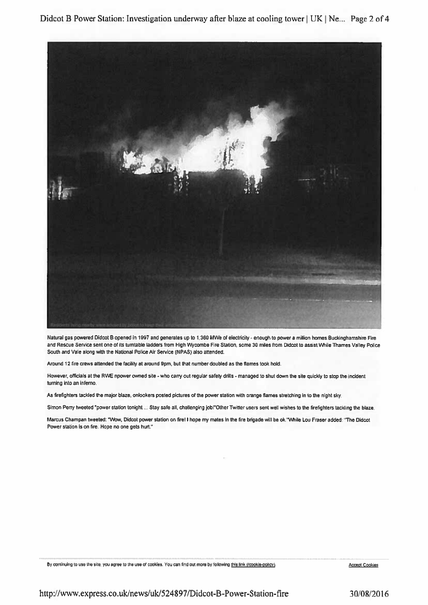Didcot B Power Station: Investigation underway after blaze at cooling tower | UK | Ne... Page 2 of 4



Natural gas powered Didcot B opened in 1997 and generates up to 1,360 MWe of electricity - enough to power a million homes Buckinghamshire Fire and Rescue Service sent one of its turntable ladders from High Wycombe Fire Station, some 30 miles from Didcot to assist While Thames Valley Police South and Vale along with the National Police Air Service (NPAS) also attended.

Around 12 fire crews attended the facility at around 9pm, but that number doubled as the flames took hold.

However, officials at the RWE npower owned site - who carry out regular safety drills - managed to shut down the site quickly to stop the incident turning into an inferno.

As firefighters tackled the major blaze, onlookers posted pictures of the power station with orange flames stretching in to the night sky.

Simon Perry tweeted "power station tonight ... Stay safe all, challenging job!"Other Twitter users sent well wishes to the firefighters tackling the blaze.

Marcus Champan tweeted: "Wow, Didcot power station on fire! I hope my mates in the fire brigade will be ok. "While Lou Fraser added: "The Didcot Power station is on fire. Hope no one gets hurt."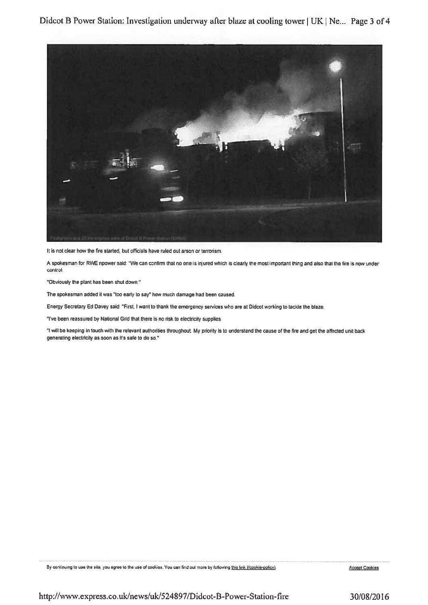

It is not clear how the fire started, but officials have ruled out arson or terrorism.

A spokesman for RWE npower said: "We can confirm that no one is injured which is clearly the most important thing and also that the fire is now under control.

"Obviously the plant has been shut down."

The spokesman added it was "too early to say" how much damage had been caused.

Energy Secretary Ed Davey said: "First, I want to thank the emergency services who are at Didcot working to tackle the blaze.

"I've been reassured by National Grid that there is no risk to electricity supplies.

"I will be keeping in touch with the relevant authorities throughout. My priority is to understand the cause of the fire and get the affected unit back generating electricity as soon as it's safe to do so."